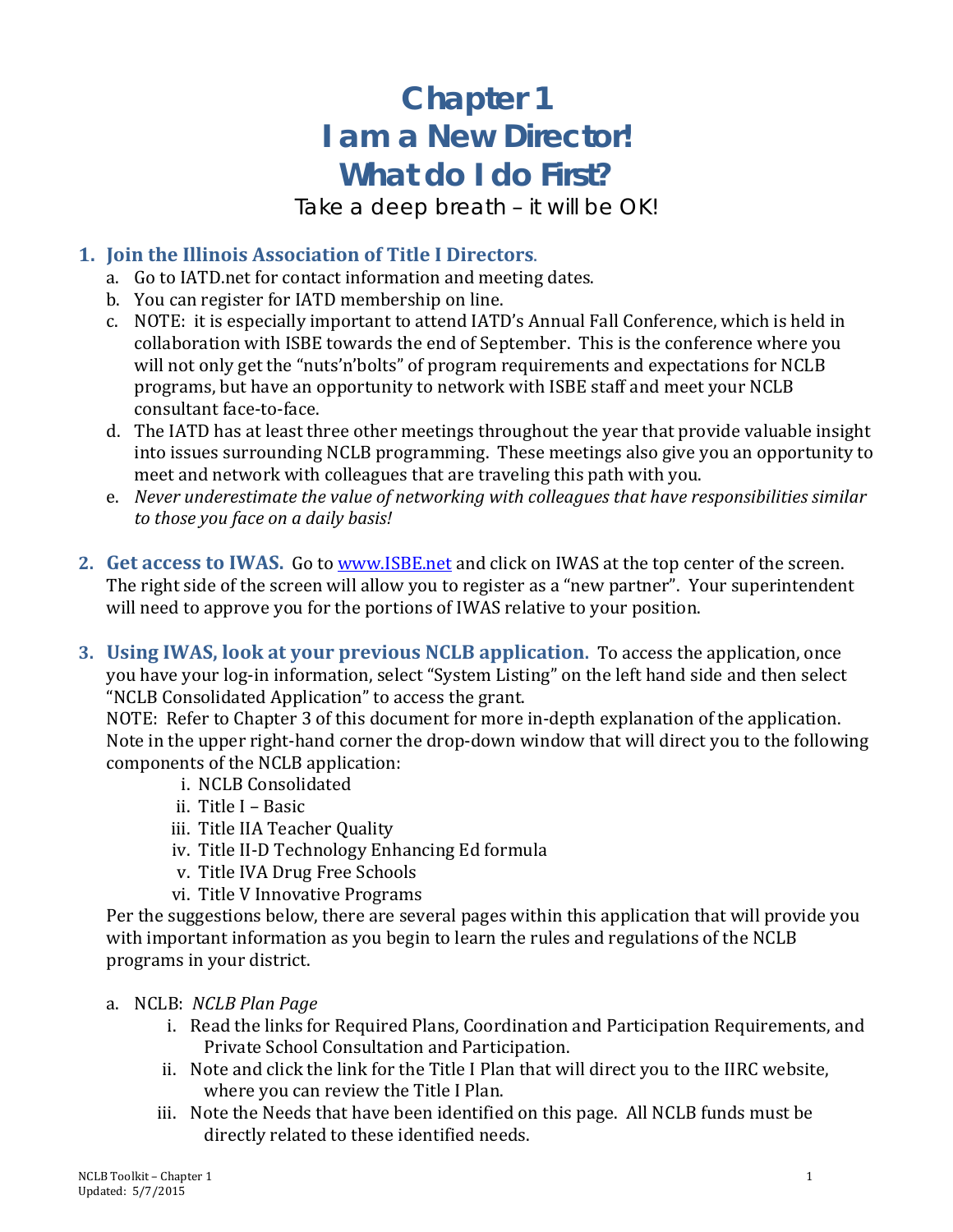## **Chapter 1 I am a New Director! What do I do First?**

Take a deep breath – it will be OK!

## **1. Join the Illinois Association of Title I Directors**.

- a. Go to IATD.net for contact information and meeting dates.
- b. You can register for IATD membership on line.
- c. NOTE: it is especially important to attend IATD's Annual Fall Conference, which is held in collaboration with ISBE towards the end of September. This is the conference where you will not only get the "nuts'n'bolts" of program requirements and expectations for NCLB programs, but have an opportunity to network with ISBE staff and meet your NCLB consultant face-to-face.
- d. The IATD has at least three other meetings throughout the year that provide valuable insight into issues surrounding NCLB programming. These meetings also give you an opportunity to meet and network with colleagues that are traveling this path with you.
- e. *Never underestimate the value of networking with colleagues that have responsibilities similar to those you face on a daily basis!*
- **2. Get access to IWAS.** Go to [www.ISBE.net](http://www.isbe.net/) and click on IWAS at the top center of the screen. The right side of the screen will allow you to register as a "new partner". Your superintendent will need to approve you for the portions of IWAS relative to your position.
- **3. Using IWAS, look at your previous NCLB application.** To access the application, once you have your log-in information, select "System Listing" on the left hand side and then select "NCLB Consolidated Application" to access the grant.

NOTE: Refer to Chapter 3 of this document for more in-depth explanation of the application. Note in the upper right-hand corner the drop-down window that will direct you to the following components of the NCLB application:

- i. NCLB Consolidated
- ii. Title I Basic
- iii. Title IIA Teacher Quality
- iv. Title II-D Technology Enhancing Ed formula
- v. Title IVA Drug Free Schools
- vi. Title V Innovative Programs

Per the suggestions below, there are several pages within this application that will provide you with important information as you begin to learn the rules and regulations of the NCLB programs in your district.

- a. NCLB: *NCLB Plan Page*
	- i. Read the links for Required Plans, Coordination and Participation Requirements, and Private School Consultation and Participation.
	- ii. Note and click the link for the Title I Plan that will direct you to the IIRC website, where you can review the Title I Plan.
	- iii. Note the Needs that have been identified on this page. All NCLB funds must be directly related to these identified needs.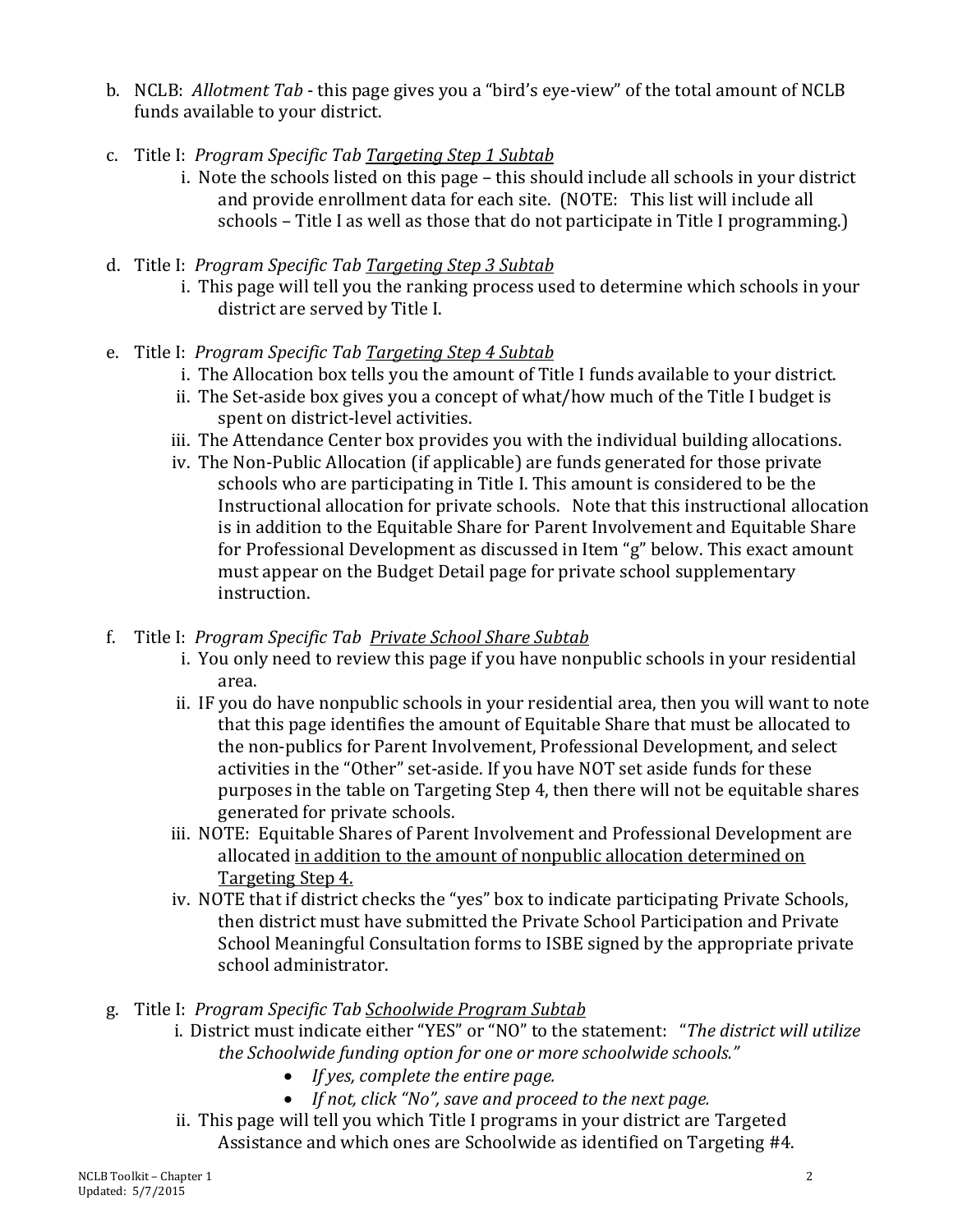- b. NCLB: *Allotment Tab* this page gives you a "bird's eye-view" of the total amount of NCLB funds available to your district.
- c. Title I: *Program Specific Tab Targeting Step 1 Subtab*
	- i. Note the schools listed on this page this should include all schools in your district and provide enrollment data for each site. (NOTE: This list will include all schools – Title I as well as those that do not participate in Title I programming.)
- d. Title I: *Program Specific Tab Targeting Step 3 Subtab*
	- i. This page will tell you the ranking process used to determine which schools in your district are served by Title I.
- e. Title I: *Program Specific Tab Targeting Step 4 Subtab*
	- i. The Allocation box tells you the amount of Title I funds available to your district.
	- ii. The Set-aside box gives you a concept of what/how much of the Title I budget is spent on district-level activities.
	- iii. The Attendance Center box provides you with the individual building allocations.
	- iv. The Non-Public Allocation (if applicable) are funds generated for those private schools who are participating in Title I. This amount is considered to be the Instructional allocation for private schools. Note that this instructional allocation is in addition to the Equitable Share for Parent Involvement and Equitable Share for Professional Development as discussed in Item "g" below. This exact amount must appear on the Budget Detail page for private school supplementary instruction.
- f. Title I: *Program Specific Tab Private School Share Subtab*
	- i. You only need to review this page if you have nonpublic schools in your residential area.
	- ii. IF you do have nonpublic schools in your residential area, then you will want to note that this page identifies the amount of Equitable Share that must be allocated to the non-publics for Parent Involvement, Professional Development, and select activities in the "Other" set-aside. If you have NOT set aside funds for these purposes in the table on Targeting Step 4, then there will not be equitable shares generated for private schools.
	- iii. NOTE: Equitable Shares of Parent Involvement and Professional Development are allocated in addition to the amount of nonpublic allocation determined on Targeting Step 4.
	- iv. NOTE that if district checks the "yes" box to indicate participating Private Schools, then district must have submitted the Private School Participation and Private School Meaningful Consultation forms to ISBE signed by the appropriate private school administrator.
- g. Title I: *Program Specific Tab Schoolwide Program Subtab*
	- i. District must indicate either "YES" or "NO" to the statement: "*The district will utilize the Schoolwide funding option for one or more schoolwide schools."*
		- *If yes, complete the entire page.*
		- *If not, click "No", save and proceed to the next page.*
	- ii. This page will tell you which Title I programs in your district are Targeted Assistance and which ones are Schoolwide as identified on Targeting #4.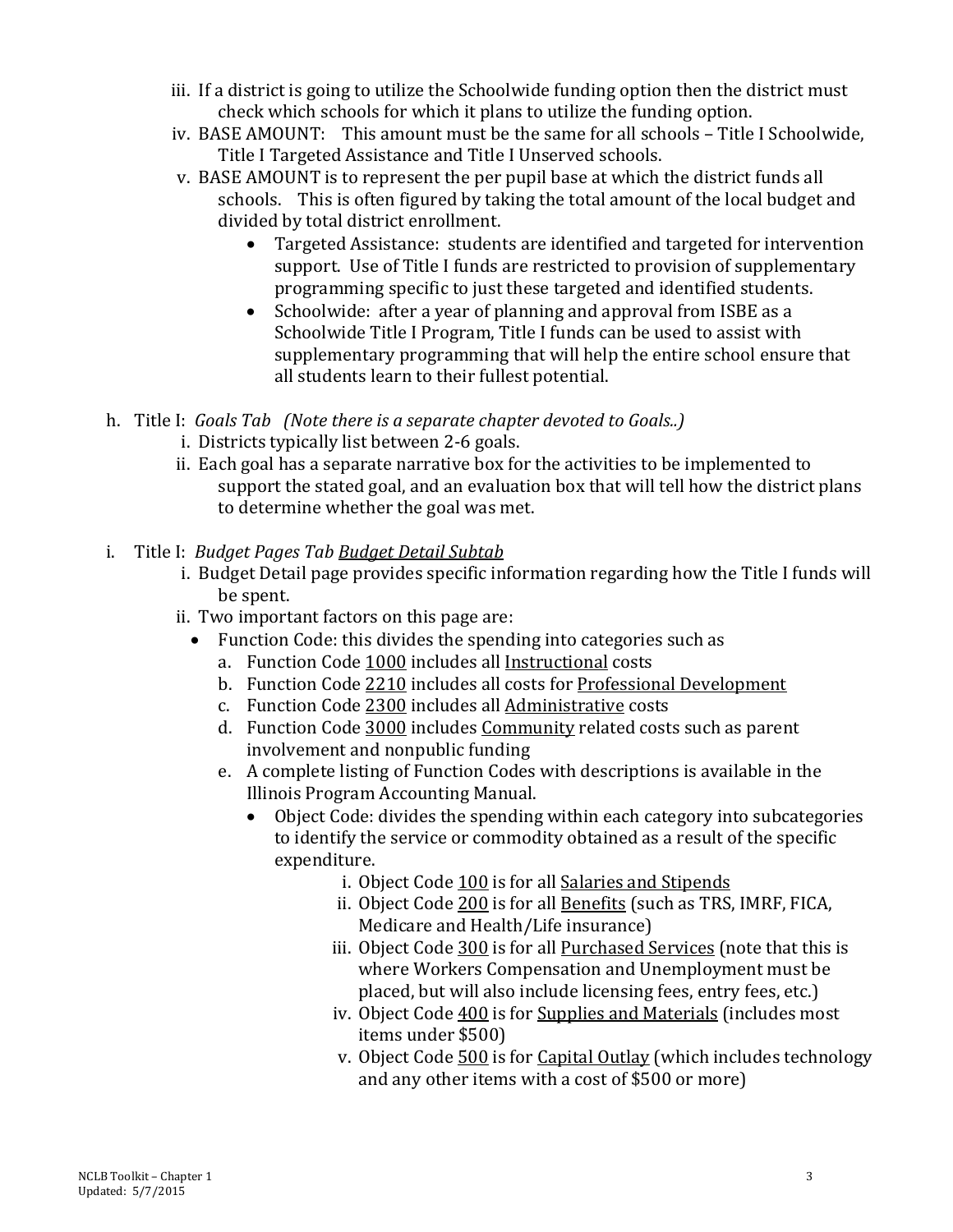- iii. If a district is going to utilize the Schoolwide funding option then the district must check which schools for which it plans to utilize the funding option.
- iv. BASE AMOUNT: This amount must be the same for all schools Title I Schoolwide, Title I Targeted Assistance and Title I Unserved schools.
- v. BASE AMOUNT is to represent the per pupil base at which the district funds all schools. This is often figured by taking the total amount of the local budget and divided by total district enrollment.
	- Targeted Assistance: students are identified and targeted for intervention support. Use of Title I funds are restricted to provision of supplementary programming specific to just these targeted and identified students.
	- Schoolwide: after a year of planning and approval from ISBE as a Schoolwide Title I Program, Title I funds can be used to assist with supplementary programming that will help the entire school ensure that all students learn to their fullest potential.
- h. Title I: *Goals Tab (Note there is a separate chapter devoted to Goals..)*
	- i. Districts typically list between 2-6 goals.
	- ii. Each goal has a separate narrative box for the activities to be implemented to support the stated goal, and an evaluation box that will tell how the district plans to determine whether the goal was met.
- i. Title I: *Budget Pages Tab Budget Detail Subtab*
	- i. Budget Detail page provides specific information regarding how the Title I funds will be spent.
	- ii. Two important factors on this page are:
		- Function Code: this divides the spending into categories such as
			- a. Function Code 1000 includes all Instructional costs
			- b. Function Code 2210 includes all costs for Professional Development
			- c. Function Code 2300 includes all Administrative costs
			- d. Function Code 3000 includes Community related costs such as parent involvement and nonpublic funding
			- e. A complete listing of Function Codes with descriptions is available in the Illinois Program Accounting Manual.<br>• Object Code: divides the spending
				- Object Code: divides the spending within each category into subcategories to identify the service or commodity obtained as a result of the specific expenditure.
					- i. Object Code 100 is for all Salaries and Stipends
					- ii. Object Code 200 is for all Benefits (such as TRS, IMRF, FICA, Medicare and Health/Life insurance)
					- iii. Object Code 300 is for all Purchased Services (note that this is where Workers Compensation and Unemployment must be placed, but will also include licensing fees, entry fees, etc.)
					- iv. Object Code 400 is for Supplies and Materials (includes most items under \$500)
					- v. Object Code 500 is for Capital Outlay (which includes technology and any other items with a cost of \$500 or more)